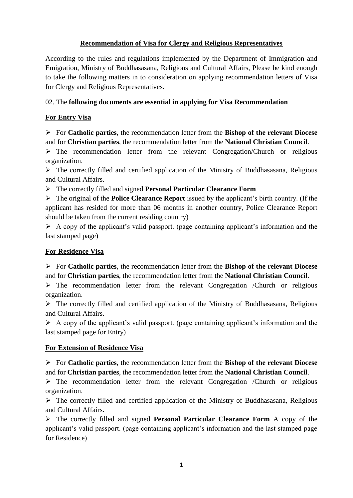# **Recommendation of Visa for Clergy and Religious Representatives**

According to the rules and regulations implemented by the Department of Immigration and Emigration, Ministry of Buddhasasana, Religious and Cultural Affairs, Please be kind enough to take the following matters in to consideration on applying recommendation letters of Visa for Clergy and Religious Representatives.

# 02. The **following documents are essential in applying for Visa Recommendation**

# **For Entry Visa**

 For **Catholic parties**, the recommendation letter from the **Bishop of the relevant Diocese** and for **Christian parties**, the recommendation letter from the **National Christian Council**.

 $\triangleright$  The recommendation letter from the relevant Congregation/Church or religious organization.

 $\triangleright$  The correctly filled and certified application of the Ministry of Buddhasasana, Religious and Cultural Affairs.

The correctly filled and signed **Personal Particular Clearance Form**

 $\triangleright$  The original of the **Police Clearance Report** issued by the applicant's birth country. (If the applicant has resided for more than 06 months in another country, Police Clearance Report should be taken from the current residing country)

 $\triangleright$  A copy of the applicant's valid passport. (page containing applicant's information and the last stamped page)

### **For Residence Visa**

 For **Catholic parties**, the recommendation letter from the **Bishop of the relevant Diocese** and for **Christian parties**, the recommendation letter from the **National Christian Council**.

 $\triangleright$  The recommendation letter from the relevant Congregation /Church or religious organization.

 $\triangleright$  The correctly filled and certified application of the Ministry of Buddhasasana, Religious and Cultural Affairs.

 $\triangleright$  A copy of the applicant's valid passport. (page containing applicant's information and the last stamped page for Entry)

### **For Extension of Residence Visa**

 For **Catholic parties**, the recommendation letter from the **Bishop of the relevant Diocese** and for **Christian parties**, the recommendation letter from the **National Christian Council**.

 $\triangleright$  The recommendation letter from the relevant Congregation /Church or religious organization.

 $\triangleright$  The correctly filled and certified application of the Ministry of Buddhasasana, Religious and Cultural Affairs.

 The correctly filled and signed **Personal Particular Clearance Form** A copy of the applicant's valid passport. (page containing applicant's information and the last stamped page for Residence)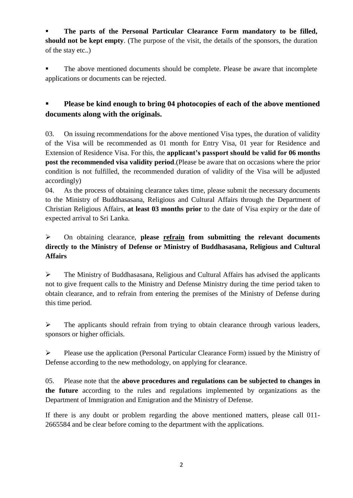**The parts of the Personal Particular Clearance Form mandatory to be filled, should not be kept empty**. (The purpose of the visit, the details of the sponsors, the duration of the stay etc..)

 The above mentioned documents should be complete. Please be aware that incomplete applications or documents can be rejected.

# **Please be kind enough to bring 04 photocopies of each of the above mentioned documents along with the originals.**

03. On issuing recommendations for the above mentioned Visa types, the duration of validity of the Visa will be recommended as 01 month for Entry Visa, 01 year for Residence and Extension of Residence Visa. For this, the **applicant's passport should be valid for 06 months post the recommended visa validity period**.(Please be aware that on occasions where the prior condition is not fulfilled, the recommended duration of validity of the Visa will be adjusted accordingly)

04. As the process of obtaining clearance takes time, please submit the necessary documents to the Ministry of Buddhasasana, Religious and Cultural Affairs through the Department of Christian Religious Affairs, **at least 03 months prior** to the date of Visa expiry or the date of expected arrival to Sri Lanka.

# On obtaining clearance, **please refrain from submitting the relevant documents directly to the Ministry of Defense or Ministry of Buddhasasana, Religious and Cultural Affairs**

 The Ministry of Buddhasasana, Religious and Cultural Affairs has advised the applicants not to give frequent calls to the Ministry and Defense Ministry during the time period taken to obtain clearance, and to refrain from entering the premises of the Ministry of Defense during this time period.

 $\triangleright$  The applicants should refrain from trying to obtain clearance through various leaders, sponsors or higher officials.

 $\triangleright$  Please use the application (Personal Particular Clearance Form) issued by the Ministry of Defense according to the new methodology, on applying for clearance.

05. Please note that the **above procedures and regulations can be subjected to changes in the future** according to the rules and regulations implemented by organizations as the Department of Immigration and Emigration and the Ministry of Defense.

If there is any doubt or problem regarding the above mentioned matters, please call 011- 2665584 and be clear before coming to the department with the applications.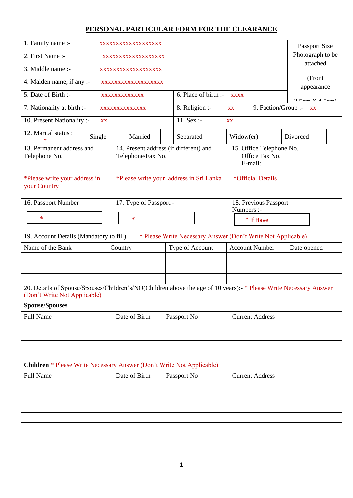# **PERSONAL PARTICULAR FORM FOR THE CLEARANCE**

| 1. Family name :-<br>XXXXXXXXXXXXXXXXXX                                                                                                                                            |                                                             |                                         |  | Passport Size                                         |  |             |                        |  |                                            |  |
|------------------------------------------------------------------------------------------------------------------------------------------------------------------------------------|-------------------------------------------------------------|-----------------------------------------|--|-------------------------------------------------------|--|-------------|------------------------|--|--------------------------------------------|--|
| 2. First Name :-<br>XXXXXXXXXXXXXXXXXX                                                                                                                                             |                                                             |                                         |  | Photograph to be<br>attached                          |  |             |                        |  |                                            |  |
| 3. Middle name :-<br>XXXXXXXXXXXXXXXXXX                                                                                                                                            |                                                             |                                         |  |                                                       |  |             |                        |  |                                            |  |
| 4. Maiden name, if any :-                                                                                                                                                          |                                                             | XXXXXXXXXXXXXXXXXX                      |  |                                                       |  |             |                        |  | (Front<br>appearance                       |  |
| 5. Date of Birth :-                                                                                                                                                                |                                                             | XXXXXXXXXXXXX                           |  | 6. Place of birth :-                                  |  | <b>XXXX</b> |                        |  | $\bigcap$ $\mathcal{F}$ XZ A $\mathcal{F}$ |  |
| 7. Nationality at birth :-                                                                                                                                                         |                                                             | XXXXXXXXXXXXX                           |  | 8. Religion :-<br>9. Faction/Group :- xx<br>XX        |  |             |                        |  |                                            |  |
| 10. Present Nationality :-                                                                                                                                                         | XX                                                          |                                         |  | 11. Sex :-                                            |  | XX          |                        |  |                                            |  |
| 12. Marital status:                                                                                                                                                                | Single                                                      | Married                                 |  | Separated                                             |  | Widow(er)   |                        |  | Divorced                                   |  |
| 13. Permanent address and<br>Telephone No.                                                                                                                                         | 14. Present address (if different) and<br>Telephone/Fax No. |                                         |  | 15. Office Telephone No.<br>Office Fax No.<br>E-mail: |  |             |                        |  |                                            |  |
| *Please write your address in<br>your Country                                                                                                                                      |                                                             | *Please write your address in Sri Lanka |  |                                                       |  |             | *Official Details      |  |                                            |  |
| 16. Passport Number                                                                                                                                                                |                                                             | 17. Type of Passport:-                  |  |                                                       |  | Numbers :-  | 18. Previous Passport  |  |                                            |  |
| $\ast$                                                                                                                                                                             |                                                             | $\ast$                                  |  |                                                       |  |             | * If Have              |  |                                            |  |
|                                                                                                                                                                                    |                                                             |                                         |  |                                                       |  |             |                        |  |                                            |  |
| * Please Write Necessary Answer (Don't Write Not Applicable)<br>19. Account Details (Mandatory to fill)<br><b>Account Number</b><br>Name of the Bank<br>Country<br>Type of Account |                                                             |                                         |  | Date opened                                           |  |             |                        |  |                                            |  |
|                                                                                                                                                                                    |                                                             |                                         |  |                                                       |  |             |                        |  |                                            |  |
|                                                                                                                                                                                    |                                                             |                                         |  |                                                       |  |             |                        |  |                                            |  |
|                                                                                                                                                                                    |                                                             |                                         |  |                                                       |  |             |                        |  |                                            |  |
| 20. Details of Spouse/Spouses/Children's/NO(Children above the age of 10 years):- * Please Write Necessary Answer<br>(Don't Write Not Applicable)                                  |                                                             |                                         |  |                                                       |  |             |                        |  |                                            |  |
| <b>Spouse/Spouses</b>                                                                                                                                                              |                                                             |                                         |  |                                                       |  |             |                        |  |                                            |  |
| Full Name                                                                                                                                                                          |                                                             | Date of Birth                           |  | Passport No                                           |  |             | <b>Current Address</b> |  |                                            |  |
|                                                                                                                                                                                    |                                                             |                                         |  |                                                       |  |             |                        |  |                                            |  |
|                                                                                                                                                                                    |                                                             |                                         |  |                                                       |  |             |                        |  |                                            |  |
|                                                                                                                                                                                    |                                                             |                                         |  |                                                       |  |             |                        |  |                                            |  |
| <b>Children</b> * Please Write Necessary Answer (Don't Write Not Applicable)                                                                                                       |                                                             |                                         |  |                                                       |  |             |                        |  |                                            |  |
| Full Name                                                                                                                                                                          |                                                             | Date of Birth                           |  | Passport No                                           |  |             | <b>Current Address</b> |  |                                            |  |
|                                                                                                                                                                                    |                                                             |                                         |  |                                                       |  |             |                        |  |                                            |  |
|                                                                                                                                                                                    |                                                             |                                         |  |                                                       |  |             |                        |  |                                            |  |
|                                                                                                                                                                                    |                                                             |                                         |  |                                                       |  |             |                        |  |                                            |  |
|                                                                                                                                                                                    |                                                             |                                         |  |                                                       |  |             |                        |  |                                            |  |
|                                                                                                                                                                                    |                                                             |                                         |  |                                                       |  |             |                        |  |                                            |  |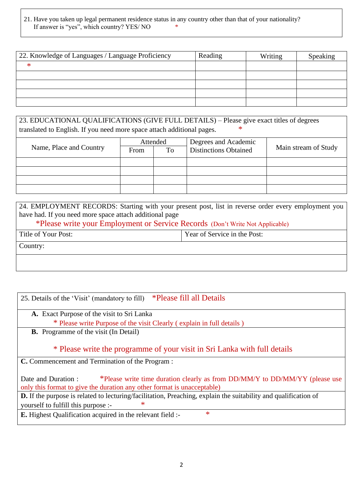### 21. Have you taken up legal permanent residence status in any country other than that of your nationality? If answer is "yes", which country? YES/ NO  $*$

| 22. Knowledge of Languages / Language Proficiency | Reading | Writing | Speaking |
|---------------------------------------------------|---------|---------|----------|
| ∗                                                 |         |         |          |
|                                                   |         |         |          |
|                                                   |         |         |          |
|                                                   |         |         |          |
|                                                   |         |         |          |

23. EDUCATIONAL QUALIFICATIONS (GIVE FULL DETAILS) – Please give exact titles of degrees translated to English. If you need more space attach additional pages.  $*$ 

| Name, Place and Country | Attended<br>To<br>From |  | Degrees and Academic<br><b>Distinctions Obtained</b> | Main stream of Study |
|-------------------------|------------------------|--|------------------------------------------------------|----------------------|
|                         |                        |  |                                                      |                      |
|                         |                        |  |                                                      |                      |
|                         |                        |  |                                                      |                      |
|                         |                        |  |                                                      |                      |

| 24. EMPLOYMENT RECORDS: Starting with your present post, list in reverse order every employment you |  |  |  |  |
|-----------------------------------------------------------------------------------------------------|--|--|--|--|
| have had. If you need more space attach additional page                                             |  |  |  |  |
| *Please write your Employment or Service Records (Don't Write Not Applicable)                       |  |  |  |  |
| Year of Service in the Post:<br>Title of Your Post:                                                 |  |  |  |  |
| Country:                                                                                            |  |  |  |  |
|                                                                                                     |  |  |  |  |

| <i>*Please fill all Details</i><br>25. Details of the 'Visit' (mandatory to fill)                                                                                             |
|-------------------------------------------------------------------------------------------------------------------------------------------------------------------------------|
| A. Exact Purpose of the visit to Sri Lanka                                                                                                                                    |
| * Please write Purpose of the visit Clearly (explain in full details)                                                                                                         |
| <b>B.</b> Programme of the visit (In Detail)                                                                                                                                  |
| * Please write the programme of your visit in Sri Lanka with full details                                                                                                     |
| <b>C.</b> Commencement and Termination of the Program :                                                                                                                       |
| *Please write time duration clearly as from DD/MM/Y to DD/MM/YY (please use<br>Date and Duration :<br>only this format to give the duration any other format is unacceptable) |
| <b>D.</b> If the purpose is related to lecturing/facilitation, Preaching, explain the suitability and qualification of                                                        |
| $\ast$<br>yourself to fulfill this purpose :-                                                                                                                                 |
| $\ast$<br><b>E.</b> Highest Qualification acquired in the relevant field :-                                                                                                   |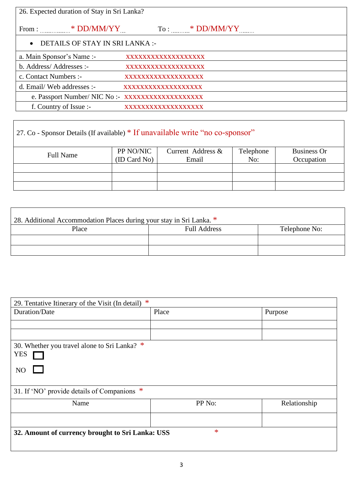| 26. Expected duration of Stay in Sri Lanka?      |                     |
|--------------------------------------------------|---------------------|
| From : $*$ DD/MM/YY                              | $To:$ * DD/MM/YY    |
| DETAILS OF STAY IN SRI LANKA :-<br>$\bullet$     |                     |
| a. Main Sponsor's Name :-                        | XXXXXXXXXXXXXXXXXX  |
| b. Address/Addresses :-                          | XXXXXXXXXXXXXXXXXX  |
| c. Contact Numbers :-                            | XXXXXXXXXXXXXXXXXX  |
| d. Email/Web addresses :-                        | XXXXXXXXXXXXXXXXXX  |
| e. Passport Number/ NIC No :- XXXXXXXXXXXXXXXXXX |                     |
| f. Country of Issue :-                           | XXXXXXXXXXXXXXXXXXX |

# 27. Co - Sponsor Details (If available) \* If unavailable write "no co-sponsor"

| <b>Full Name</b> | PP NO/NIC<br>(ID Card No) | Current Address &<br>Email | Telephone<br>No: | <b>Business Or</b><br>Occupation |
|------------------|---------------------------|----------------------------|------------------|----------------------------------|
|                  |                           |                            |                  |                                  |
|                  |                           |                            |                  |                                  |
|                  |                           |                            |                  |                                  |

| 28. Additional Accommodation Places during your stay in Sri Lanka. * |                     |               |  |  |  |
|----------------------------------------------------------------------|---------------------|---------------|--|--|--|
| Place                                                                | <b>Full Address</b> | Telephone No: |  |  |  |
|                                                                      |                     |               |  |  |  |
|                                                                      |                     |               |  |  |  |

| ∗<br>29. Tentative Itinerary of the Visit (In detail) |        |              |  |  |
|-------------------------------------------------------|--------|--------------|--|--|
| Duration/Date                                         | Place  | Purpose      |  |  |
|                                                       |        |              |  |  |
|                                                       |        |              |  |  |
| 30. Whether you travel alone to Sri Lanka? *          |        |              |  |  |
| <b>YES</b>                                            |        |              |  |  |
| N <sub>O</sub>                                        |        |              |  |  |
|                                                       |        |              |  |  |
| 31. If 'NO' provide details of Companions *           |        |              |  |  |
| Name                                                  | PP No: | Relationship |  |  |
|                                                       |        |              |  |  |
| 32. Amount of currency brought to Sri Lanka: USS      | $\ast$ |              |  |  |
|                                                       |        |              |  |  |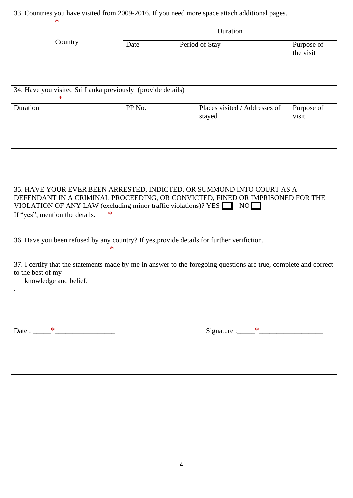| 33. Countries you have visited from 2009-2016. If you need more space attach additional pages.<br>∗                                                                                                                                                         |        |          |                                         |                         |  |  |  |
|-------------------------------------------------------------------------------------------------------------------------------------------------------------------------------------------------------------------------------------------------------------|--------|----------|-----------------------------------------|-------------------------|--|--|--|
|                                                                                                                                                                                                                                                             |        | Duration |                                         |                         |  |  |  |
| Country                                                                                                                                                                                                                                                     | Date   |          | Period of Stay                          | Purpose of<br>the visit |  |  |  |
|                                                                                                                                                                                                                                                             |        |          |                                         |                         |  |  |  |
|                                                                                                                                                                                                                                                             |        |          |                                         |                         |  |  |  |
| 34. Have you visited Sri Lanka previously (provide details)<br>$\ast$                                                                                                                                                                                       |        |          |                                         |                         |  |  |  |
| Duration                                                                                                                                                                                                                                                    | PP No. |          | Places visited / Addresses of<br>stayed | Purpose of<br>visit     |  |  |  |
|                                                                                                                                                                                                                                                             |        |          |                                         |                         |  |  |  |
|                                                                                                                                                                                                                                                             |        |          |                                         |                         |  |  |  |
|                                                                                                                                                                                                                                                             |        |          |                                         |                         |  |  |  |
|                                                                                                                                                                                                                                                             |        |          |                                         |                         |  |  |  |
| 35. HAVE YOUR EVER BEEN ARRESTED, INDICTED, OR SUMMOND INTO COURT AS A<br>DEFENDANT IN A CRIMINAL PROCEEDING, OR CONVICTED, FINED OR IMPRISONED FOR THE<br>VIOLATION OF ANY LAW (excluding minor traffic violations)? YES<br>If "yes", mention the details. |        |          | $NO$ $\Box$                             |                         |  |  |  |
| 36. Have you been refused by any country? If yes, provide details for further verifiction.                                                                                                                                                                  | ∗      |          |                                         |                         |  |  |  |
| 37. I certify that the statements made by me in answer to the foregoing questions are true, complete and correct<br>to the best of my<br>knowledge and belief.                                                                                              |        |          |                                         |                         |  |  |  |
|                                                                                                                                                                                                                                                             |        |          | Signature : $*$                         |                         |  |  |  |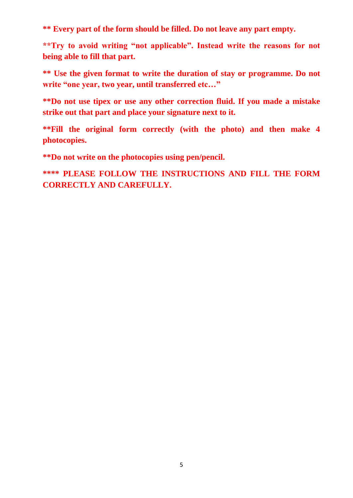**\*\* Every part of the form should be filled. Do not leave any part empty.**

**\*\*Try to avoid writing "not applicable". Instead write the reasons for not being able to fill that part.**

**\*\* Use the given format to write the duration of stay or programme. Do not write "one year, two year, until transferred etc…"**

**\*\*Do not use tipex or use any other correction fluid. If you made a mistake strike out that part and place your signature next to it.**

**\*\*Fill the original form correctly (with the photo) and then make 4 photocopies.**

**\*\*Do not write on the photocopies using pen/pencil.** 

**\*\*\*\* PLEASE FOLLOW THE INSTRUCTIONS AND FILL THE FORM CORRECTLY AND CAREFULLY.**